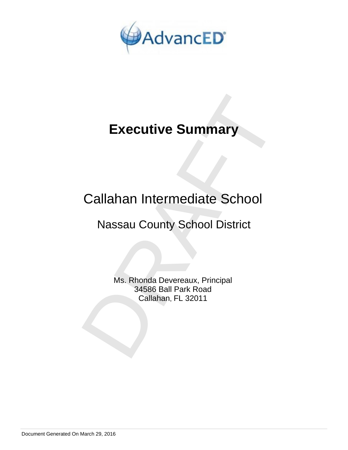

# **Executive Summary**

## Callahan Intermediate School

## Nassau County School District

Executive Summary<br>
Callahan Intermediate School<br>
Nassau County School District<br>
Ms. Rhonda Devereaux, Principal<br>
34586 Ball Park Road<br>
Callahan, FL 32011 Ms. Rhonda Devereaux, Principal 34586 Ball Park Road Callahan, FL 32011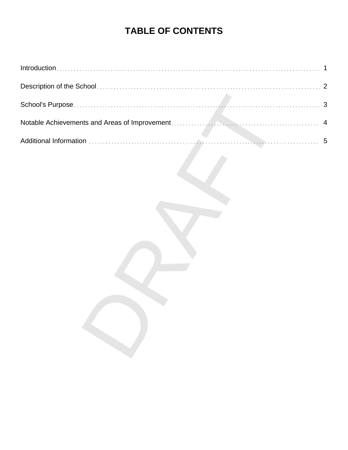### **TABLE OF CONTENTS**

| 1              |
|----------------|
| $\overline{2}$ |
| $\mathbf{3}$   |
| $\overline{4}$ |
|                |
|                |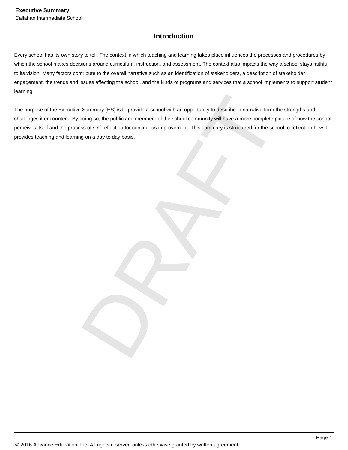#### **Introduction**

Every school has its own story to tell. The context in which teaching and learning takes place influences the processes and procedures by which the school makes decisions around curriculum, instruction, and assessment. The context also impacts the way a school stays faithful to its vision. Many factors contribute to the overall narrative such as an identification of stakeholders, a description of stakeholder engagement, the trends and issues affecting the school, and the kinds of programs and services that a school implements to support student learning.

Summary (ES) is to provide a school with an opportunity to describe in narrative form the strength<br>doing so, the public and members of the school community will have a more complete picture of ht<br>iss of self-reflection for The purpose of the Executive Summary (ES) is to provide a school with an opportunity to describe in narrative form the strengths and challenges it encounters. By doing so, the public and members of the school community will have a more complete picture of how the school perceives itself and the process of self-reflection for continuous improvement. This summary is structured for the school to reflect on how it provides teaching and learning on a day to day basis.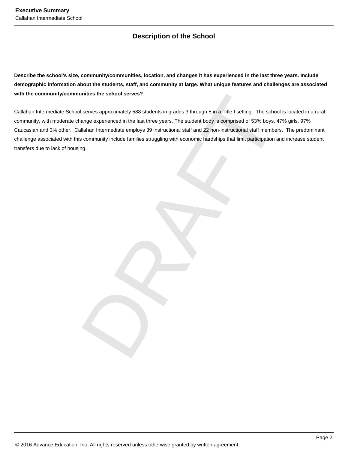#### **Description of the School**

**Describe the school's size, community/communities, location, and changes it has experienced in the last three years. Include demographic information about the students, staff, and community at large. What unique features and challenges are associated with the community/communities the school serves?**

unities the school serves?<br>
In serves approximately 588 students in grades 3 through 5 in a Title I setting. The school is located<br>
anange experienced in the last three years. The student body is comprised of 53% boys. 47% Callahan Intermediate School serves approximately 588 students in grades 3 through 5 in a Title I setting. The school is located in a rural community, with moderate change experienced in the last three years. The student body is comprised of 53% boys, 47% girls, 97% Caucasian and 3% other. Callahan Intermediate employs 39 instructional staff and 22 non-instructional staff members. The predominant challenge associated with this community include families struggling with economic hardships that limit participation and increase student transfers due to lack of housing.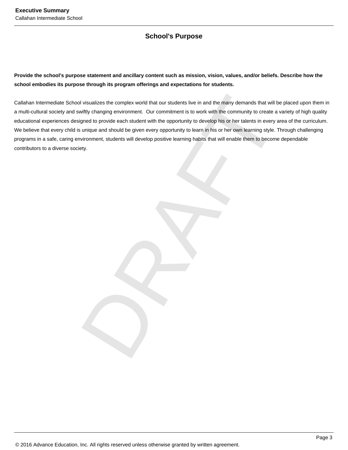#### **School's Purpose**

**Provide the school's purpose statement and ancillary content such as mission, vision, values, and/or beliefs. Describe how the school embodies its purpose through its program offerings and expectations for students.**

In visualizes the complex world that our students live in and the many demands that will be placed unitly changing environment. Our commitment is to work with the community to reate a variety of Ingred to provide each stud Callahan Intermediate School visualizes the complex world that our students live in and the many demands that will be placed upon them in a multi-cultural society and swiftly changing environment. Our commitment is to work with the community to create a variety of high quality educational experiences designed to provide each student with the opportunity to develop his or her talents in every area of the curriculum. We believe that every child is unique and should be given every opportunity to learn in his or her own learning style. Through challenging programs in a safe, caring environment, students will develop positive learning habits that will enable them to become dependable contributors to a diverse society.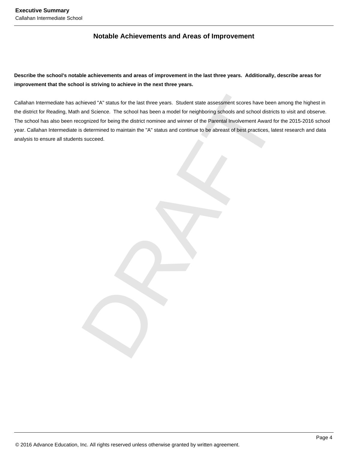#### **Notable Achievements and Areas of Improvement**

**Describe the school's notable achievements and areas of improvement in the last three years. Additionally, describe areas for improvement that the school is striving to achieve in the next three years.**

chieved 'A' status for the last three years. Student state assessment scores have been among the<br>and Science. The school has been a model for neighboring schools and school districts to visit are<br>opposed for being the dist Callahan Intermediate has achieved "A" status for the last three years. Student state assessment scores have been among the highest in the district for Reading, Math and Science. The school has been a model for neighboring schools and school districts to visit and observe. The school has also been recognized for being the district nominee and winner of the Parental Involvement Award for the 2015-2016 school year. Callahan Intermediate is determined to maintain the "A" status and continue to be abreast of best practices, latest research and data analysis to ensure all students succeed.